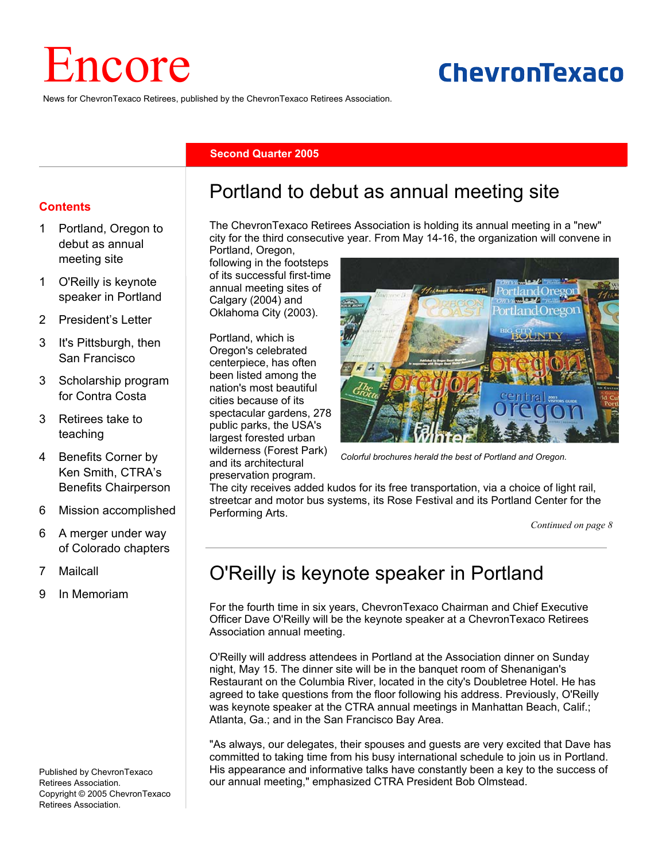# Encore

# ChevronTexaco

News for ChevronTexaco Retirees, published by the ChevronTexaco Retirees Association.

#### **Second Quarter 2005**

#### **Contents**

- 1 Portland, Oregon to debut as annual meeting site
- 1 O'Reilly is keynote speaker in Portland
- 2 President's Letter
- 3 It's Pittsburgh, then San Francisco
- 3 Scholarship program for Contra Costa
- 3 Retirees take to teaching
- 4 Benefits Corner by Ken Smith, CTRA's Benefits Chairperson
- 6 Mission accomplished
- 6 A merger under way of Colorado chapters
- 7 Mailcall
- 9 In Memoriam

Published by ChevronTexaco Retirees Association. Copyright © 2005 ChevronTexaco Retirees Association.

## Portland to debut as annual meeting site

The ChevronTexaco Retirees Association is holding its annual meeting in a "new" city for the third consecutive year. From May 14-16, the organization will convene in

Portland, Oregon, following in the footsteps of its successful first-time annual meeting sites of Calgary (2004) and Oklahoma City (2003).

Portland, which is Oregon's celebrated centerpiece, has often been listed among the nation's most beautiful cities because of its spectacular gardens, 278 public parks, the USA's largest forested urban wilderness (Forest Park) and its architectural preservation program.



*Colorful brochures herald the best of Portland and Oregon.* 

The city receives added kudos for its free transportation, via a choice of light rail, streetcar and motor bus systems, its Rose Festival and its Portland Center for the Performing Arts.

*Continued on page 8*

## O'Reilly is keynote speaker in Portland

For the fourth time in six years, ChevronTexaco Chairman and Chief Executive Officer Dave O'Reilly will be the keynote speaker at a ChevronTexaco Retirees Association annual meeting.

O'Reilly will address attendees in Portland at the Association dinner on Sunday night, May 15. The dinner site will be in the banquet room of Shenanigan's Restaurant on the Columbia River, located in the city's Doubletree Hotel. He has agreed to take questions from the floor following his address. Previously, O'Reilly was keynote speaker at the CTRA annual meetings in Manhattan Beach, Calif.; Atlanta, Ga.; and in the San Francisco Bay Area.

"As always, our delegates, their spouses and guests are very excited that Dave has committed to taking time from his busy international schedule to join us in Portland. His appearance and informative talks have constantly been a key to the success of our annual meeting," emphasized CTRA President Bob Olmstead.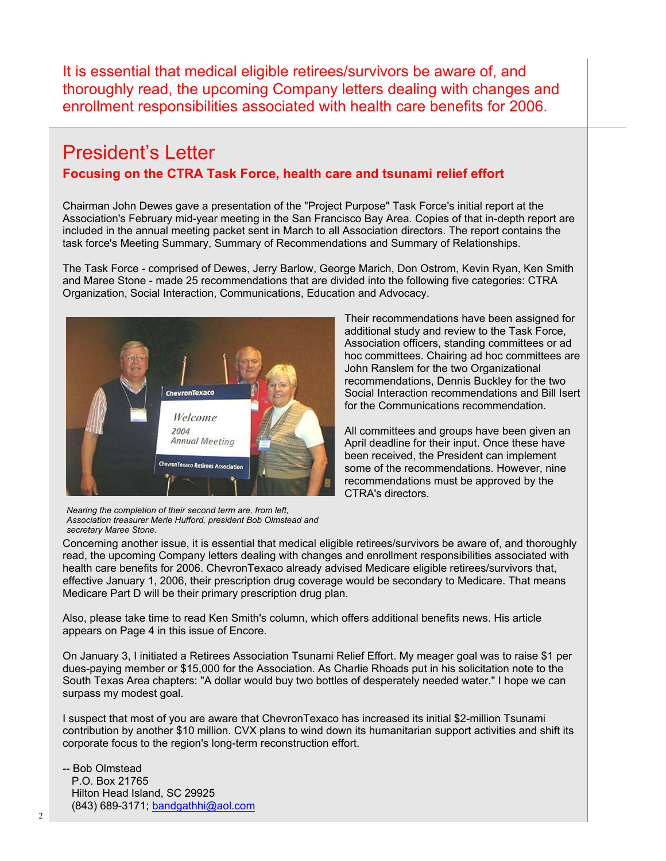It is essential that medical eligible retirees/survivors be aware of, and thoroughly read, the upcoming Company letters dealing with changes and enrollment responsibilities associated with health care benefits for 2006.

## President's Letter **Focusing on the CTRA Task Force, health care and tsunami relief effort**

Chairman John Dewes gave a presentation of the "Project Purpose" Task Force's initial report at the Association's February mid-year meeting in the San Francisco Bay Area. Copies of that in-depth report are included in the annual meeting packet sent in March to all Association directors. The report contains the task force's Meeting Summary, Summary of Recommendations and Summary of Relationships.

The Task Force - comprised of Dewes, Jerry Barlow, George Marich, Don Ostrom, Kevin Ryan, Ken Smith and Maree Stone - made 25 recommendations that are divided into the following five categories: CTRA Organization, Social Interaction, Communications, Education and Advocacy.



Their recommendations have been assigned for additional study and review to the Task Force, Association officers, standing committees or ad hoc committees. Chairing ad hoc committees are John Ranslem for the two Organizational recommendations, Dennis Buckley for the two Social Interaction recommendations and Bill Isert for the Communications recommendation.

All committees and groups have been given an April deadline for their input. Once these have been received, the President can implement some of the recommendations. However, nine recommendations must be approved by the CTRA's directors.

Association treasurer Merle Hufford, president Bob Olmstead and *Nearing the completion of their second term are, from left, secretary Maree Stone.* 

Concerning another issue, it is essential that medical eligible retirees/survivors be aware of, and thoroughly read, the upcoming Company letters dealing with changes and enrollment responsibilities associated with health care benefits for 2006. ChevronTexaco already advised Medicare eligible retirees/survivors that, effective January 1, 2006, their prescription drug coverage would be secondary to Medicare. That means Medicare Part D will be their primary prescription drug plan.

Also, please take time to read Ken Smith's column, which offers additional benefits news. His article appears on Page 4 in this issue of Encore.

On January 3, I initiated a Retirees Association Tsunami Relief Effort. My meager goal was to raise \$1 per dues-paying member or \$15,000 for the Association. As Charlie Rhoads put in his solicitation note to the South Texas Area chapters: "A dollar would buy two bottles of desperately needed water." I hope we can surpass my modest goal.

I suspect that most of you are aware that ChevronTexaco has increased its initial \$2-million Tsunami contribution by another \$10 million. CVX plans to wind down its humanitarian support activities and shift its corporate focus to the region's long-term reconstruction effort.

#### -- Bob Olmstead P.O. Box 21765 Hilton Head Island, SC 29925 (843) 689-3171; bandgathhi@aol.com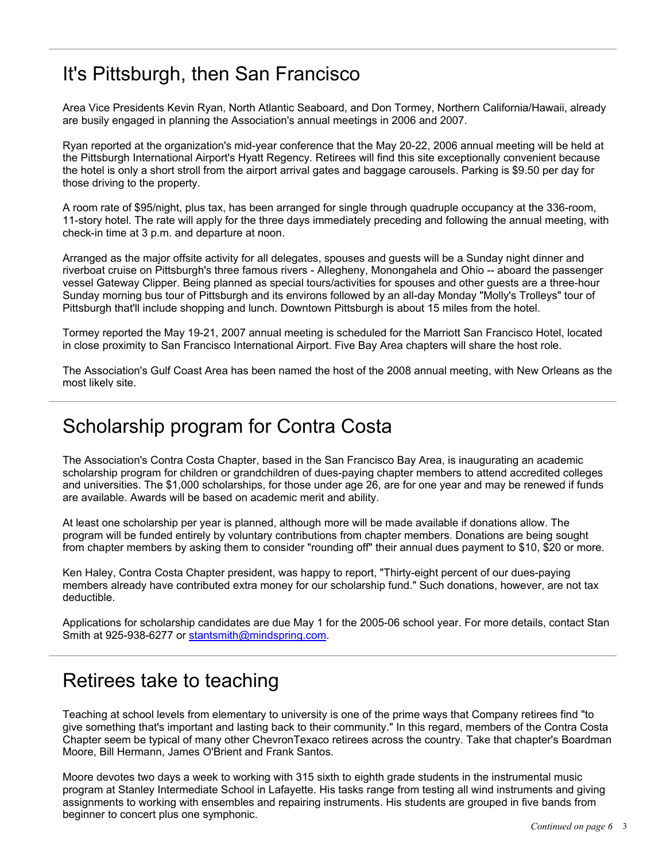## It's Pittsburgh, then San Francisco

Area Vice Presidents Kevin Ryan, North Atlantic Seaboard, and Don Tormey, Northern California/Hawaii, already are busily engaged in planning the Association's annual meetings in 2006 and 2007.

Ryan reported at the organization's mid-year conference that the May 20-22, 2006 annual meeting will be held at the Pittsburgh International Airport's Hyatt Regency. Retirees will find this site exceptionally convenient because the hotel is only a short stroll from the airport arrival gates and baggage carousels. Parking is \$9.50 per day for those driving to the property.

A room rate of \$95/night, plus tax, has been arranged for single through quadruple occupancy at the 336-room, 11-story hotel. The rate will apply for the three days immediately preceding and following the annual meeting, with check-in time at 3 p.m. and departure at noon.

Arranged as the major offsite activity for all delegates, spouses and guests will be a Sunday night dinner and riverboat cruise on Pittsburgh's three famous rivers - Allegheny, Monongahela and Ohio -- aboard the passenger vessel Gateway Clipper. Being planned as special tours/activities for spouses and other guests are a three-hour Sunday morning bus tour of Pittsburgh and its environs followed by an all-day Monday "Molly's Trolleys" tour of Pittsburgh that'll include shopping and lunch. Downtown Pittsburgh is about 15 miles from the hotel.

Tormey reported the May 19-21, 2007 annual meeting is scheduled for the Marriott San Francisco Hotel, located in close proximity to San Francisco International Airport. Five Bay Area chapters will share the host role.

The Association's Gulf Coast Area has been named the host of the 2008 annual meeting, with New Orleans as the most likely site.

## Scholarship program for Contra Costa

The Association's Contra Costa Chapter, based in the San Francisco Bay Area, is inaugurating an academic scholarship program for children or grandchildren of dues-paying chapter members to attend accredited colleges and universities. The \$1,000 scholarships, for those under age 26, are for one year and may be renewed if funds are available. Awards will be based on academic merit and ability.

At least one scholarship per year is planned, although more will be made available if donations allow. The program will be funded entirely by voluntary contributions from chapter members. Donations are being sought from chapter members by asking them to consider "rounding off" their annual dues payment to \$10, \$20 or more.

Ken Haley, Contra Costa Chapter president, was happy to report, "Thirty-eight percent of our dues-paying members already have contributed extra money for our scholarship fund." Such donations, however, are not tax deductible.

Applications for scholarship candidates are due May 1 for the 2005-06 school year. For more details, contact Stan Smith at 925-938-6277 or stantsmith@mindspring.com.

## Retirees take to teaching

Teaching at school levels from elementary to university is one of the prime ways that Company retirees find "to give something that's important and lasting back to their community." In this regard, members of the Contra Costa Chapter seem be typical of many other ChevronTexaco retirees across the country. Take that chapter's Boardman Moore, Bill Hermann, James O'Brient and Frank Santos.

Moore devotes two days a week to working with 315 sixth to eighth grade students in the instrumental music program at Stanley Intermediate School in Lafayette. His tasks range from testing all wind instruments and giving assignments to working with ensembles and repairing instruments. His students are grouped in five bands from beginner to concert plus one symphonic.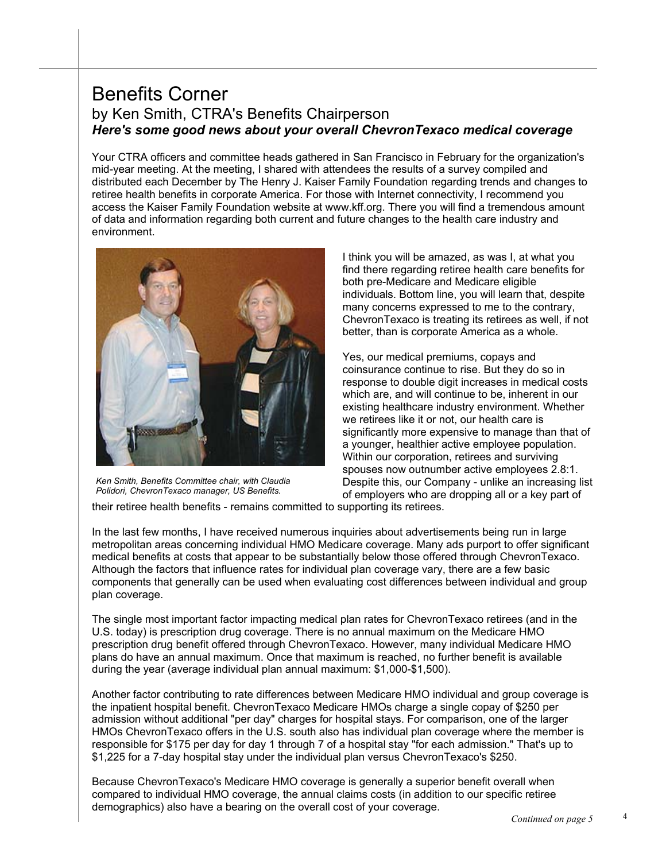### Benefits Corner by Ken Smith, CTRA's Benefits Chairperson *Here's some good news about your overall ChevronTexaco medical coverage*

Your CTRA officers and committee heads gathered in San Francisco in February for the organization's mid-year meeting. At the meeting, I shared with attendees the results of a survey compiled and distributed each December by The Henry J. Kaiser Family Foundation regarding trends and changes to retiree health benefits in corporate America. For those with Internet connectivity, I recommend you access the Kaiser Family Foundation website at www.kff.org. There you will find a tremendous amount of data and information regarding both current and future changes to the health care industry and environment.



*Ken Smith, Benefits Committee chair, with Claudia Polidori, ChevronTexaco manager, US Benefits.*

I think you will be amazed, as was I, at what you find there regarding retiree health care benefits for both pre-Medicare and Medicare eligible individuals. Bottom line, you will learn that, despite many concerns expressed to me to the contrary, ChevronTexaco is treating its retirees as well, if not better, than is corporate America as a whole.

Yes, our medical premiums, copays and coinsurance continue to rise. But they do so in response to double digit increases in medical costs which are, and will continue to be, inherent in our existing healthcare industry environment. Whether we retirees like it or not, our health care is significantly more expensive to manage than that of a younger, healthier active employee population. Within our corporation, retirees and surviving spouses now outnumber active employees 2.8:1. Despite this, our Company - unlike an increasing list of employers who are dropping all or a key part of

their retiree health benefits - remains committed to supporting its retirees.

In the last few months, I have received numerous inquiries about advertisements being run in large metropolitan areas concerning individual HMO Medicare coverage. Many ads purport to offer significant medical benefits at costs that appear to be substantially below those offered through ChevronTexaco. Although the factors that influence rates for individual plan coverage vary, there are a few basic components that generally can be used when evaluating cost differences between individual and group plan coverage.

The single most important factor impacting medical plan rates for ChevronTexaco retirees (and in the U.S. today) is prescription drug coverage. There is no annual maximum on the Medicare HMO prescription drug benefit offered through ChevronTexaco. However, many individual Medicare HMO plans do have an annual maximum. Once that maximum is reached, no further benefit is available during the year (average individual plan annual maximum: \$1,000-\$1,500).

Another factor contributing to rate differences between Medicare HMO individual and group coverage is the inpatient hospital benefit. ChevronTexaco Medicare HMOs charge a single copay of \$250 per admission without additional "per day" charges for hospital stays. For comparison, one of the larger HMOs ChevronTexaco offers in the U.S. south also has individual plan coverage where the member is responsible for \$175 per day for day 1 through 7 of a hospital stay "for each admission." That's up to \$1,225 for a 7-day hospital stay under the individual plan versus ChevronTexaco's \$250.

Because ChevronTexaco's Medicare HMO coverage is generally a superior benefit overall when compared to individual HMO coverage, the annual claims costs (in addition to our specific retiree demographics) also have a bearing on the overall cost of your coverage.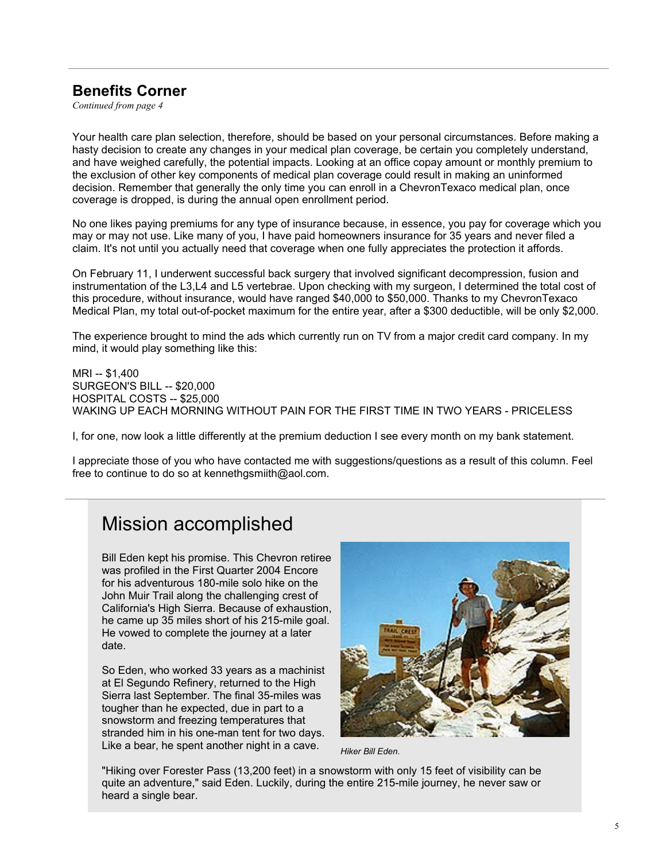#### **Benefits Corner**

*Continued from page 4*

Your health care plan selection, therefore, should be based on your personal circumstances. Before making a hasty decision to create any changes in your medical plan coverage, be certain you completely understand, and have weighed carefully, the potential impacts. Looking at an office copay amount or monthly premium to the exclusion of other key components of medical plan coverage could result in making an uninformed decision. Remember that generally the only time you can enroll in a ChevronTexaco medical plan, once coverage is dropped, is during the annual open enrollment period.

No one likes paying premiums for any type of insurance because, in essence, you pay for coverage which you may or may not use. Like many of you, I have paid homeowners insurance for 35 years and never filed a claim. It's not until you actually need that coverage when one fully appreciates the protection it affords.

On February 11, I underwent successful back surgery that involved significant decompression, fusion and instrumentation of the L3,L4 and L5 vertebrae. Upon checking with my surgeon, I determined the total cost of this procedure, without insurance, would have ranged \$40,000 to \$50,000. Thanks to my ChevronTexaco Medical Plan, my total out-of-pocket maximum for the entire year, after a \$300 deductible, will be only \$2,000.

The experience brought to mind the ads which currently run on TV from a major credit card company. In my mind, it would play something like this:

MRI -- \$1,400 SURGEON'S BILL -- \$20,000 HOSPITAL COSTS -- \$25,000 WAKING UP EACH MORNING WITHOUT PAIN FOR THE FIRST TIME IN TWO YEARS - PRICELESS

I, for one, now look a little differently at the premium deduction I see every month on my bank statement.

I appreciate those of you who have contacted me with suggestions/questions as a result of this column. Feel free to continue to do so at kennethgsmiith@aol.com.

## Mission accomplished

Bill Eden kept his promise. This Chevron retiree was profiled in the First Quarter 2004 Encore for his adventurous 180-mile solo hike on the John Muir Trail along the challenging crest of California's High Sierra. Because of exhaustion, he came up 35 miles short of his 215-mile goal. He vowed to complete the journey at a later date.

So Eden, who worked 33 years as a machinist at El Segundo Refinery, returned to the High Sierra last September. The final 35-miles was tougher than he expected, due in part to a snowstorm and freezing temperatures that stranded him in his one-man tent for two days. Like a bear, he spent another night in a cave.



*Hiker Bill Eden.* 

"Hiking over Forester Pass (13,200 feet) in a snowstorm with only 15 feet of visibility can be quite an adventure," said Eden. Luckily, during the entire 215-mile journey, he never saw or heard a single bear.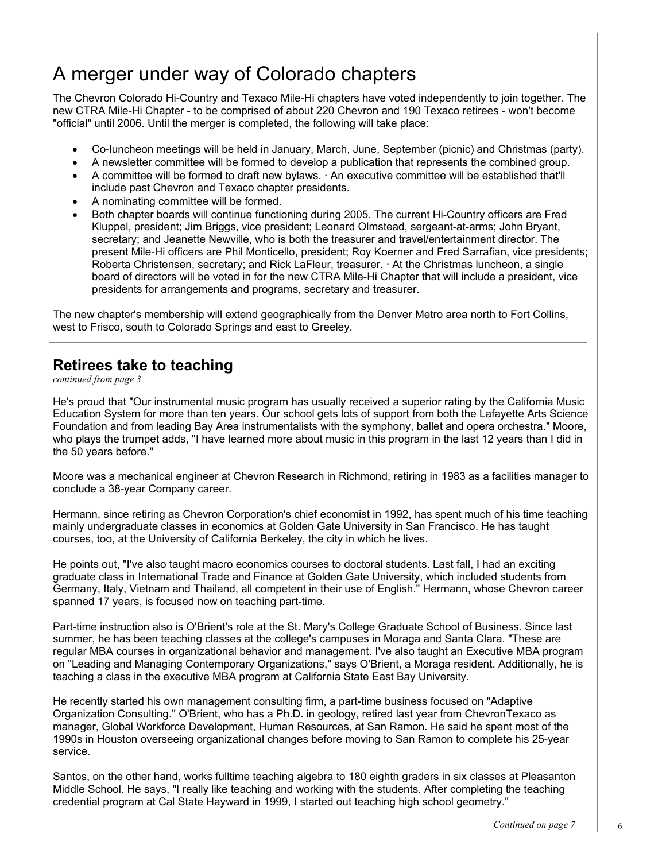## A merger under way of Colorado chapters

The Chevron Colorado Hi-Country and Texaco Mile-Hi chapters have voted independently to join together. The new CTRA Mile-Hi Chapter - to be comprised of about 220 Chevron and 190 Texaco retirees - won't become "official" until 2006. Until the merger is completed, the following will take place:

- Co-luncheon meetings will be held in January, March, June, September (picnic) and Christmas (party).
- A newsletter committee will be formed to develop a publication that represents the combined group.
- A committee will be formed to draft new bylaws. · An executive committee will be established that'll include past Chevron and Texaco chapter presidents.
- A nominating committee will be formed.
- Both chapter boards will continue functioning during 2005. The current Hi-Country officers are Fred Kluppel, president; Jim Briggs, vice president; Leonard Olmstead, sergeant-at-arms; John Bryant, secretary; and Jeanette Newville, who is both the treasurer and travel/entertainment director. The present Mile-Hi officers are Phil Monticello, president; Roy Koerner and Fred Sarrafian, vice presidents; Roberta Christensen, secretary; and Rick LaFleur, treasurer. · At the Christmas luncheon, a single board of directors will be voted in for the new CTRA Mile-Hi Chapter that will include a president, vice presidents for arrangements and programs, secretary and treasurer.

The new chapter's membership will extend geographically from the Denver Metro area north to Fort Collins, west to Frisco, south to Colorado Springs and east to Greeley.

### **Retirees take to teaching**

*continued from page 3*

He's proud that "Our instrumental music program has usually received a superior rating by the California Music Education System for more than ten years. Our school gets lots of support from both the Lafayette Arts Science Foundation and from leading Bay Area instrumentalists with the symphony, ballet and opera orchestra." Moore, who plays the trumpet adds, "I have learned more about music in this program in the last 12 years than I did in the 50 years before."

Moore was a mechanical engineer at Chevron Research in Richmond, retiring in 1983 as a facilities manager to conclude a 38-year Company career.

Hermann, since retiring as Chevron Corporation's chief economist in 1992, has spent much of his time teaching mainly undergraduate classes in economics at Golden Gate University in San Francisco. He has taught courses, too, at the University of California Berkeley, the city in which he lives.

He points out, "I've also taught macro economics courses to doctoral students. Last fall, I had an exciting graduate class in International Trade and Finance at Golden Gate University, which included students from Germany, Italy, Vietnam and Thailand, all competent in their use of English." Hermann, whose Chevron career spanned 17 years, is focused now on teaching part-time.

Part-time instruction also is O'Brient's role at the St. Mary's College Graduate School of Business. Since last summer, he has been teaching classes at the college's campuses in Moraga and Santa Clara. "These are regular MBA courses in organizational behavior and management. I've also taught an Executive MBA program on "Leading and Managing Contemporary Organizations," says O'Brient, a Moraga resident. Additionally, he is teaching a class in the executive MBA program at California State East Bay University.

He recently started his own management consulting firm, a part-time business focused on "Adaptive Organization Consulting." O'Brient, who has a Ph.D. in geology, retired last year from ChevronTexaco as manager, Global Workforce Development, Human Resources, at San Ramon. He said he spent most of the 1990s in Houston overseeing organizational changes before moving to San Ramon to complete his 25-year service.

Santos, on the other hand, works fulltime teaching algebra to 180 eighth graders in six classes at Pleasanton Middle School. He says, "I really like teaching and working with the students. After completing the teaching credential program at Cal State Hayward in 1999, I started out teaching high school geometry."

6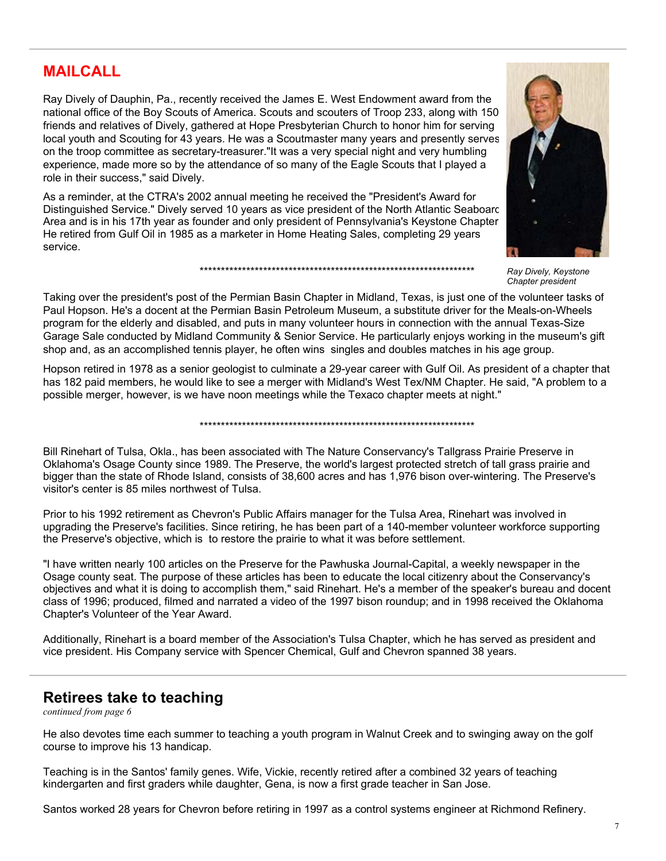#### **MAILCALL**

Ray Dively of Dauphin, Pa., recently received the James E. West Endowment award from the national office of the Boy Scouts of America. Scouts and scouters of Troop 233, along with 150 friends and relatives of Dively, gathered at Hope Presbyterian Church to honor him for serving local youth and Scouting for 43 years. He was a Scoutmaster many years and presently serves on the troop committee as secretary-treasurer."It was a very special night and very humbling experience, made more so by the attendance of so many of the Eagle Scouts that I played a role in their success," said Dively.

As a reminder, at the CTRA's 2002 annual meeting he received the "President's Award for Distinguished Service." Dively served 10 years as vice president of the North Atlantic Seaboard Area and is in his 17th year as founder and only president of Pennsylvania's Keystone Chapter. He retired from Gulf Oil in 1985 as a marketer in Home Heating Sales, completing 29 years service.



*Ray Dively, Keystone Chapter president* 

Taking over the president's post of the Permian Basin Chapter in Midland, Texas, is just one of the volunteer tasks of Paul Hopson. He's a docent at the Permian Basin Petroleum Museum, a substitute driver for the Meals-on-Wheels program for the elderly and disabled, and puts in many volunteer hours in connection with the annual Texas-Size Garage Sale conducted by Midland Community & Senior Service. He particularly enjoys working in the museum's gift shop and, as an accomplished tennis player, he often wins singles and doubles matches in his age group.

\*\*\*\*\*\*\*\*\*\*\*\*\*\*\*\*\*\*\*\*\*\*\*\*\*\*\*\*\*\*\*\*\*\*\*\*\*\*\*\*\*\*\*\*\*\*\*\*\*\*\*\*\*\*\*\*\*\*\*\*\*\*\*\*\*

Hopson retired in 1978 as a senior geologist to culminate a 29-year career with Gulf Oil. As president of a chapter that has 182 paid members, he would like to see a merger with Midland's West Tex/NM Chapter. He said, "A problem to a possible merger, however, is we have noon meetings while the Texaco chapter meets at night."

\*\*\*\*\*\*\*\*\*\*\*\*\*\*\*\*\*\*\*\*\*\*\*\*\*\*\*\*\*\*\*\*\*\*\*\*\*\*\*\*\*\*\*\*\*\*\*\*\*\*\*\*\*\*\*\*\*\*\*\*\*\*\*\*\*

Bill Rinehart of Tulsa, Okla., has been associated with The Nature Conservancy's Tallgrass Prairie Preserve in Oklahoma's Osage County since 1989. The Preserve, the world's largest protected stretch of tall grass prairie and bigger than the state of Rhode Island, consists of 38,600 acres and has 1,976 bison over-wintering. The Preserve's visitor's center is 85 miles northwest of Tulsa.

Prior to his 1992 retirement as Chevron's Public Affairs manager for the Tulsa Area, Rinehart was involved in upgrading the Preserve's facilities. Since retiring, he has been part of a 140-member volunteer workforce supporting the Preserve's objective, which is to restore the prairie to what it was before settlement.

"I have written nearly 100 articles on the Preserve for the Pawhuska Journal-Capital, a weekly newspaper in the Osage county seat. The purpose of these articles has been to educate the local citizenry about the Conservancy's objectives and what it is doing to accomplish them," said Rinehart. He's a member of the speaker's bureau and docent class of 1996; produced, filmed and narrated a video of the 1997 bison roundup; and in 1998 received the Oklahoma Chapter's Volunteer of the Year Award.

Additionally, Rinehart is a board member of the Association's Tulsa Chapter, which he has served as president and vice president. His Company service with Spencer Chemical, Gulf and Chevron spanned 38 years.

#### **Retirees take to teaching**

*continued from page 6*

He also devotes time each summer to teaching a youth program in Walnut Creek and to swinging away on the golf course to improve his 13 handicap.

Teaching is in the Santos' family genes. Wife, Vickie, recently retired after a combined 32 years of teaching kindergarten and first graders while daughter, Gena, is now a first grade teacher in San Jose.

Santos worked 28 years for Chevron before retiring in 1997 as a control systems engineer at Richmond Refinery.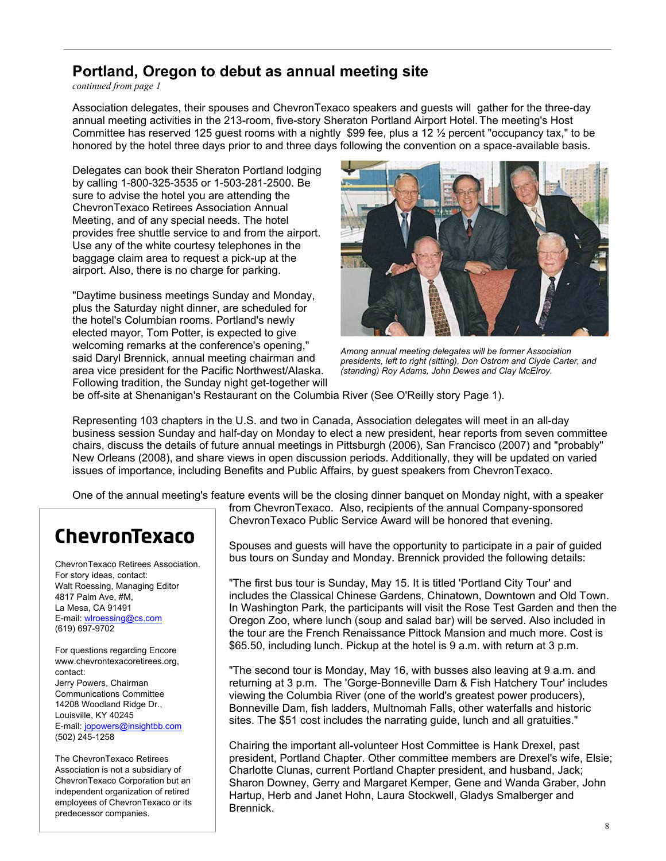#### **Portland, Oregon to debut as annual meeting site**

*continued from page 1*

Association delegates, their spouses and ChevronTexaco speakers and guests will gather for the three-day annual meeting activities in the 213-room, five-story Sheraton Portland Airport Hotel.The meeting's Host Committee has reserved 125 quest rooms with a nightly \$99 fee, plus a 12  $\frac{1}{2}$  percent "occupancy tax," to be honored by the hotel three days prior to and three days following the convention on a space-available basis.

Delegates can book their Sheraton Portland lodging by calling 1-800-325-3535 or 1-503-281-2500. Be sure to advise the hotel you are attending the ChevronTexaco Retirees Association Annual Meeting, and of any special needs. The hotel provides free shuttle service to and from the airport. Use any of the white courtesy telephones in the baggage claim area to request a pick-up at the airport. Also, there is no charge for parking.

"Daytime business meetings Sunday and Monday, plus the Saturday night dinner, are scheduled for the hotel's Columbian rooms. Portland's newly elected mayor, Tom Potter, is expected to give welcoming remarks at the conference's opening," said Daryl Brennick, annual meeting chairman and area vice president for the Pacific Northwest/Alaska. Following tradition, the Sunday night get-together will



*Among annual meeting delegates will be former Association presidents, left to right (sitting), Don Ostrom and Clyde Carter, and (standing) Roy Adams, John Dewes and Clay McElroy.* 

be off-site at Shenanigan's Restaurant on the Columbia River (See O'Reilly story Page 1).

Representing 103 chapters in the U.S. and two in Canada, Association delegates will meet in an all-day business session Sunday and half-day on Monday to elect a new president, hear reports from seven committee chairs, discuss the details of future annual meetings in Pittsburgh (2006), San Francisco (2007) and "probably" New Orleans (2008), and share views in open discussion periods. Additionally, they will be updated on varied issues of importance, including Benefits and Public Affairs, by guest speakers from ChevronTexaco.

One of the annual meeting's feature events will be the closing dinner banquet on Monday night, with a speaker

## ChevronTexaco

ChevronTexaco Retirees Association. For story ideas, contact: Walt Roessing, Managing Editor 4817 Palm Ave, #M, La Mesa, CA 91491 E-mail: wlroessing@cs.com (619) 697-9702

For questions regarding Encore www.chevrontexacoretirees.org, contact: Jerry Powers, Chairman Communications Committee 14208 Woodland Ridge Dr., Louisville, KY 40245 E-mail: jopowers@insightbb.com (502) 245-1258

The ChevronTexaco Retirees Association is not a subsidiary of ChevronTexaco Corporation but an independent organization of retired employees of ChevronTexaco or its predecessor companies.

from ChevronTexaco. Also, recipients of the annual Company-sponsored ChevronTexaco Public Service Award will be honored that evening.

Spouses and guests will have the opportunity to participate in a pair of guided bus tours on Sunday and Monday. Brennick provided the following details:

"The first bus tour is Sunday, May 15. It is titled 'Portland City Tour' and includes the Classical Chinese Gardens, Chinatown, Downtown and Old Town. In Washington Park, the participants will visit the Rose Test Garden and then the Oregon Zoo, where lunch (soup and salad bar) will be served. Also included in the tour are the French Renaissance Pittock Mansion and much more. Cost is \$65.50, including lunch. Pickup at the hotel is 9 a.m. with return at 3 p.m.

"The second tour is Monday, May 16, with busses also leaving at 9 a.m. and returning at 3 p.m. The 'Gorge-Bonneville Dam & Fish Hatchery Tour' includes viewing the Columbia River (one of the world's greatest power producers), Bonneville Dam, fish ladders, Multnomah Falls, other waterfalls and historic sites. The \$51 cost includes the narrating guide, lunch and all gratuities."

Chairing the important all-volunteer Host Committee is Hank Drexel, past president, Portland Chapter. Other committee members are Drexel's wife, Elsie; Charlotte Clunas, current Portland Chapter president, and husband, Jack; Sharon Downey, Gerry and Margaret Kemper, Gene and Wanda Graber, John Hartup, Herb and Janet Hohn, Laura Stockwell, Gladys Smalberger and Brennick.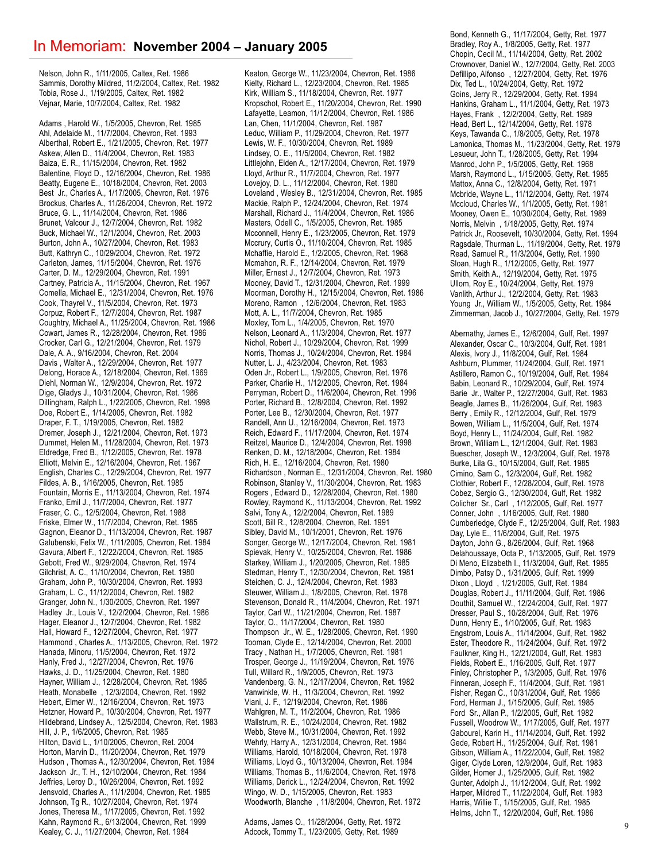Nelson, John R., 1/11/2005, Caltex, Ret. 1986 Sammis, Dorothy Mildred, 11/2/2004, Caltex, Ret. 1982 Tobia, Rose J., 1/19/2005, Caltex, Ret. 1982 Vejnar, Marie, 10/7/2004, Caltex, Ret. 1982

Adams , Harold W., 1/5/2005, Chevron, Ret. 1985 Ahl, Adelaide M., 11/7/2004, Chevron, Ret. 1993 Alberthal, Robert E., 1/21/2005, Chevron, Ret. 1977 Askew, Allen D., 11/4/2004, Chevron, Ret. 1983 Baiza, E. R., 11/15/2004, Chevron, Ret. 1982 Balentine, Floyd D., 12/16/2004, Chevron, Ret. 1986 Beatty, Eugene E., 10/18/2004, Chevron, Ret. 2003 Best Jr., Charles A., 1/17/2005, Chevron, Ret. 1976 Brockus, Charles A., 11/26/2004, Chevron, Ret. 1972 Bruce, G. L., 11/14/2004, Chevron, Ret. 1986 Brunet, Valcour J., 12/7/2004, Chevron, Ret. 1982 Buck, Michael W., 12/1/2004, Chevron, Ret. 2003 Burton, John A., 10/27/2004, Chevron, Ret. 1983 Butt, Kathryn C., 10/29/2004, Chevron, Ret. 1972 Carleton, James, 11/15/2004, Chevron, Ret. 1976 Carter, D. M., 12/29/2004, Chevron, Ret. 1991 Cartney, Patricia A., 11/15/2004, Chevron, Ret. 1967 Comella, Michael E., 12/31/2004, Chevron, Ret. 1976 Cook, Thayrel V., 11/5/2004, Chevron, Ret. 1973 Corpuz, Robert F., 12/7/2004, Chevron, Ret. 1987 Coughtry, Michael A., 11/25/2004, Chevron, Ret. 1986 Cowart, James R., 12/28/2004, Chevron, Ret. 1986 Crocker, Carl G., 12/21/2004, Chevron, Ret. 1979 Dale, A. A., 9/16/2004, Chevron, Ret. 2004 Davis , Walter A., 12/29/2004, Chevron, Ret. 1977 Delong, Horace A., 12/18/2004, Chevron, Ret. 1969 Diehl, Norman W., 12/9/2004, Chevron, Ret. 1972 Dige, Gladys J., 10/31/2004, Chevron, Ret. 1986 Dillingham, Ralph L., 1/22/2005, Chevron, Ret. 1998 Doe, Robert E., 1/14/2005, Chevron, Ret. 1982 Draper, F. T., 1/19/2005, Chevron, Ret. 1982 Dremer, Joseph J., 12/21/2004, Chevron, Ret. 1973 Dummet, Helen M., 11/28/2004, Chevron, Ret. 1973 Eldredge, Fred B., 1/12/2005, Chevron, Ret. 1978 Elliott, Melvin E., 12/16/2004, Chevron, Ret. 1967 English, Charles C., 12/29/2004, Chevron, Ret. 1977 Fildes, A. B., 1/16/2005, Chevron, Ret. 1985 Fountain, Morris E., 11/13/2004, Chevron, Ret. 1974 Franko, Emil J., 11/7/2004, Chevron, Ret. 1977 Fraser, C. C., 12/5/2004, Chevron, Ret. 1988 Friske, Elmer W., 11/7/2004, Chevron, Ret. 1985 Gagnon, Eleanor D., 11/13/2004, Chevron, Ret. 1987 Galubenski, Felix W., 1/11/2005, Chevron, Ret. 1984 Gavura, Albert F., 12/22/2004, Chevron, Ret. 1985 Gebott, Fred W., 9/29/2004, Chevron, Ret. 1974 Gilchrist, A. C., 11/10/2004, Chevron, Ret. 1980 Graham, John P., 10/30/2004, Chevron, Ret. 1993 Graham, L. C., 11/12/2004, Chevron, Ret. 1982 Granger, John N., 1/30/2005, Chevron, Ret. 1997 Hadley Jr., Louis V., 12/2/2004, Chevron, Ret. 1986 Hager, Eleanor J., 12/7/2004, Chevron, Ret. 1982 Hall, Howard F., 12/27/2004, Chevron, Ret. 1977 Hammond , Charles A., 1/13/2005, Chevron, Ret. 1972 Hanada, Minoru, 11/5/2004, Chevron, Ret. 1972 Hanly, Fred J., 12/27/2004, Chevron, Ret. 1976 Hawks, J. D., 11/25/2004, Chevron, Ret. 1980 Hayner, William J., 12/28/2004, Chevron, Ret. 1985 Heath, Monabelle , 12/3/2004, Chevron, Ret. 1992 Hebert, Elmer W., 12/16/2004, Chevron, Ret. 1973 Hetzner, Howard P., 10/30/2004, Chevron, Ret. 1977 Hildebrand, Lindsey A., 12/5/2004, Chevron, Ret. 1983 Hill, J. P., 1/6/2005, Chevron, Ret. 1985 Hilton, David L., 1/10/2005, Chevron, Ret. 2004 Horton, Marvin D., 11/20/2004, Chevron, Ret. 1979 Hudson , Thomas A., 12/30/2004, Chevron, Ret. 1984 Jackson Jr., T. H., 12/10/2004, Chevron, Ret. 1984 Jeffries, Leroy D., 10/26/2004, Chevron, Ret. 1992 Jensvold, Charles A., 11/1/2004, Chevron, Ret. 1985 Johnson, Tg R., 10/27/2004, Chevron, Ret. 1974 Jones, Theresa M., 1/17/2005, Chevron, Ret. 1992 Kahn, Raymond R., 6/13/2004, Chevron, Ret. 1999 Kealey, C. J., 11/27/2004, Chevron, Ret. 1984

Keaton, George W., 11/23/2004, Chevron, Ret. 1986 Kielty, Richard L., 12/23/2004, Chevron, Ret. 1985 Kirk, William S., 11/18/2004, Chevron, Ret. 1977 Kropschot, Robert E., 11/20/2004, Chevron, Ret. 1990 Lafayette, Leamon, 11/12/2004, Chevron, Ret. 1986 Lan, Chen, 11/1/2004, Chevron, Ret. 1987 Leduc, William P., 11/29/2004, Chevron, Ret. 1977 Lewis, W. F., 10/30/2004, Chevron, Ret. 1989 Lindsey, O. E., 11/5/2004, Chevron, Ret. 1982 Littlejohn, Elden A., 12/17/2004, Chevron, Ret. 1979 Lloyd, Arthur R., 11/7/2004, Chevron, Ret. 1977 Lovejoy, D. L., 11/12/2004, Chevron, Ret. 1980 Loveland , Wesley B., 12/31/2004, Chevron, Ret. 1985 Mackie, Ralph P., 12/24/2004, Chevron, Ret. 1974 Marshall, Richard J., 11/4/2004, Chevron, Ret. 1986 Masters, Odell C., 1/5/2005, Chevron, Ret. 1985 Mcconnell, Henry E., 1/23/2005, Chevron, Ret. 1979 Mccrury, Curtis O., 11/10/2004, Chevron, Ret. 1985 Mchaffie, Harold E., 1/2/2005, Chevron, Ret. 1968 Mcmahon, R. F., 12/14/2004, Chevron, Ret. 1979 Miller, Ernest J., 12/7/2004, Chevron, Ret. 1973 Mooney, David T., 12/31/2004, Chevron, Ret. 1999 Moorman, Dorothy H., 12/15/2004, Chevron, Ret. 1986 Moreno, Ramon , 12/6/2004, Chevron, Ret. 1983 Mott, A. L., 11/7/2004, Chevron, Ret. 1985 Moxley, Tom L., 1/4/2005, Chevron, Ret. 1970 Nelson, Leonard A., 11/3/2004, Chevron, Ret. 1977 Nichol, Robert J., 10/29/2004, Chevron, Ret. 1999 Norris, Thomas J., 10/24/2004, Chevron, Ret. 1984 Nutter, L. J., 4/23/2004, Chevron, Ret. 1983 Oden Jr., Robert L., 1/9/2005, Chevron, Ret. 1976 Parker, Charlie H., 1/12/2005, Chevron, Ret. 1984 Perryman, Robert D., 11/6/2004, Chevron, Ret. 1996 Porter, Richard B., 12/8/2004, Chevron, Ret. 1992 Porter, Lee B., 12/30/2004, Chevron, Ret. 1977 Randell, Ann U., 12/16/2004, Chevron, Ret. 1973 Reich, Edward F., 11/17/2004, Chevron, Ret. 1974 Reitzel, Maurice D., 12/4/2004, Chevron, Ret. 1998 Renken, D. M., 12/18/2004, Chevron, Ret. 1984 Rich, H. E., 12/16/2004, Chevron, Ret. 1980 Richardson , Norman E., 12/31/2004, Chevron, Ret. 1980 Robinson, Stanley V., 11/30/2004, Chevron, Ret. 1983 Rogers , Edward D., 12/28/2004, Chevron, Ret. 1980 Rowley, Raymond K., 11/13/2004, Chevron, Ret. 1992 Salvi, Tony A., 12/2/2004, Chevron, Ret. 1989 Scott, Bill R., 12/8/2004, Chevron, Ret. 1991 Sibley, David M., 10/1/2001, Chevron, Ret. 1976 Songer, George W., 12/17/2004, Chevron, Ret. 1981 Spievak, Henry V., 10/25/2004, Chevron, Ret. 1986 Starkey, William J., 1/20/2005, Chevron, Ret. 1985 Stedman, Henry T., 12/30/2004, Chevron, Ret. 1981 Steichen, C. J., 12/4/2004, Chevron, Ret. 1983 Steuwer, William J., 1/8/2005, Chevron, Ret. 1978 Stevenson, Donald R., 11/4/2004, Chevron, Ret. 1971 Taylor, Carl W., 11/21/2004, Chevron, Ret. 1987 Taylor, O., 11/17/2004, Chevron, Ret. 1980 Thompson Jr., W. E., 1/28/2005, Chevron, Ret. 1990 Tooman, Clyde E., 12/14/2004, Chevron, Ret. 2000 Tracy , Nathan H., 1/7/2005, Chevron, Ret. 1981 Trosper, George J., 11/19/2004, Chevron, Ret. 1976 Tull, Willard R., 1/9/2005, Chevron, Ret. 1973 Vandenberg, G. N., 12/17/2004, Chevron, Ret. 1982 Vanwinkle, W. H., 11/3/2004, Chevron, Ret. 1992 Viani, J. F., 12/19/2004, Chevron, Ret. 1986 Wahlgren, M. T., 11/2/2004, Chevron, Ret. 1986 Wallstrum, R. E., 10/24/2004, Chevron, Ret. 1982 Webb, Steve M., 10/31/2004, Chevron, Ret. 1992 Wehrly, Harry A., 12/31/2004, Chevron, Ret. 1984 Williams, Harold, 10/18/2004, Chevron, Ret. 1978 Williams, Lloyd G., 10/13/2004, Chevron, Ret. 1984 Williams, Thomas B., 11/6/2004, Chevron, Ret. 1978 Williams, Derick L., 12/24/2004, Chevron, Ret. 1992 Wingo, W. D., 1/15/2005, Chevron, Ret. 1983 Woodworth, Blanche , 11/8/2004, Chevron, Ret. 1972

Adams, James O., 11/28/2004, Getty, Ret. 1972 Adcock, Tommy T., 1/23/2005, Getty, Ret. 1989

Bond, Kenneth G., 11/17/2004, Getty, Ret. 1977 Bradley, Roy A., 1/8/2005, Getty, Ret. 1977 Chopin, Cecil M., 11/14/2004, Getty, Ret. 2002 Crownover, Daniel W., 12/7/2004, Getty, Ret. 2003 Defillipo, Alfonso , 12/27/2004, Getty, Ret. 1976 Dix, Ted L., 10/24/2004, Getty, Ret. 1972 Goins, Jerry R., 12/29/2004, Getty, Ret. 1994 Hankins, Graham L., 11/1/2004, Getty, Ret. 1973 Hayes, Frank , 12/2/2004, Getty, Ret. 1989 Head, Bert L., 12/14/2004, Getty, Ret. 1978 Keys, Tawanda C., 1/8/2005, Getty, Ret. 1978 Lamonica, Thomas M., 11/23/2004, Getty, Ret. 1979 Lesueur, John T., 1/28/2005, Getty, Ret. 1994 Manrod, John P., 1/5/2005, Getty, Ret. 1968 Marsh, Raymond L., 1/15/2005, Getty, Ret. 1985 Mattox, Anna C., 12/8/2004, Getty, Ret. 1971 Mcbride, Wayne L., 11/12/2004, Getty, Ret. 1974 Mccloud, Charles W., 1/1/2005, Getty, Ret. 1981 Mooney, Owen E., 10/30/2004, Getty, Ret. 1989 Norris, Melvin , 1/18/2005, Getty, Ret. 1974 Patrick Jr., Roosevelt, 10/30/2004, Getty, Ret. 1994 Ragsdale, Thurman L., 11/19/2004, Getty, Ret. 1979 Read, Samuel R., 11/3/2004, Getty, Ret. 1990 Sloan, Hugh R., 1/12/2005, Getty, Ret. 1977 Smith, Keith A., 12/19/2004, Getty, Ret. 1975 Ullom, Roy E., 10/24/2004, Getty, Ret. 1979 Vanlith, Arthur J., 12/2/2004, Getty, Ret. 1983 Young Jr., William W., 1/5/2005, Getty, Ret. 1984 Zimmerman, Jacob J., 10/27/2004, Getty, Ret. 1979

Abernathy, James E., 12/6/2004, Gulf, Ret. 1997 Alexander, Oscar C., 10/3/2004, Gulf, Ret. 1981 Alexis, Ivory J., 11/8/2004, Gulf, Ret. 1984 Ashburn, Plummer, 11/24/2004, Gulf, Ret. 1971 Astillero, Ramon C., 10/19/2004, Gulf, Ret. 1984 Babin, Leonard R., 10/29/2004, Gulf, Ret. 1974 Barie Jr., Walter P., 12/27/2004, Gulf, Ret. 1983 Beagle, James B., 11/26/2004, Gulf, Ret. 1983 Berry , Emily R., 12/12/2004, Gulf, Ret. 1979 Bowen, William L., 11/5/2004, Gulf, Ret. 1974 Boyd, Henry L., 11/24/2004, Gulf, Ret. 1982 Brown, William L., 12/1/2004, Gulf, Ret. 1983 Buescher, Joseph W., 12/3/2004, Gulf, Ret. 1978 Burke, Lila G., 10/15/2004, Gulf, Ret. 1985 Cimino, Sam C., 12/3/2004, Gulf, Ret. 1982 Clothier, Robert F., 12/28/2004, Gulf, Ret. 1978 Cobez, Sergio G., 12/30/2004, Gulf, Ret. 1982 Colicher Sr., Carl , 1/12/2005, Gulf, Ret. 1977 Conner, John , 1/16/2005, Gulf, Ret. 1980 Cumberledge, Clyde F., 12/25/2004, Gulf, Ret. 1983 Day, Lyle E., 11/6/2004, Gulf, Ret. 1975 Dayton, John G., 8/26/2004, Gulf, Ret. 1968 Delahoussaye, Octa P., 1/13/2005, Gulf, Ret. 1979 Di Meno, Elizabeth I., 11/3/2004, Gulf, Ret. 1985 Dimbo, Patsy D., 1/31/2005, Gulf, Ret. 1999 Dixon , Lloyd , 1/21/2005, Gulf, Ret. 1984 Douglas, Robert J., 11/11/2004, Gulf, Ret. 1986 Douthit, Samuel W., 12/24/2004, Gulf, Ret. 1977 Dresser, Paul S., 10/28/2004, Gulf, Ret. 1976 Dunn, Henry E., 1/10/2005, Gulf, Ret. 1983 Engstrom, Louis A., 11/14/2004, Gulf, Ret. 1982 Ester, Theodore R., 11/24/2004, Gulf, Ret. 1972 Faulkner, King H., 12/21/2004, Gulf, Ret. 1983 Fields, Robert E., 1/16/2005, Gulf, Ret. 1977 Finley, Christopher P., 1/3/2005, Gulf, Ret. 1976 Finneran, Joseph F., 11/4/2004, Gulf, Ret. 1981 Fisher, Regan C., 10/31/2004, Gulf, Ret. 1986 Ford, Herman J., 1/15/2005, Gulf, Ret. 1985 Ford Sr., Allan P., 1/2/2005, Gulf, Ret. 1982 Fussell, Woodrow W., 1/17/2005, Gulf, Ret. 1977 Gabourel, Karin H., 11/14/2004, Gulf, Ret. 1992 Gede, Robert H., 11/25/2004, Gulf, Ret. 1981 Gibson, William A., 11/22/2004, Gulf, Ret. 1982 Giger, Clyde Loren, 12/9/2004, Gulf, Ret. 1983 Gilder, Homer J., 1/25/2005, Gulf, Ret. 1982 Gunter, Adolph J., 11/12/2004, Gulf, Ret. 1992 Harper, Mildred T., 11/22/2004, Gulf, Ret. 1983 Harris, Willie T., 1/15/2005, Gulf, Ret. 1985 Helms, John T., 12/20/2004, Gulf, Ret. 1986